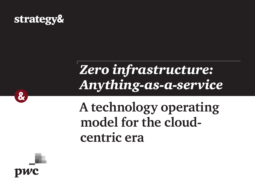

# *Zero infrastructure: Anything-as-a-service*

## **A technology operating model for the cloudcentric era**



 $\mathbf{g}$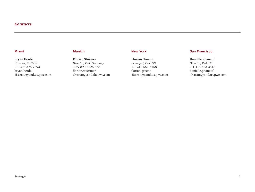#### *Contacts*

#### Miami

#### **Bryan Herdé**

*Director, PwC US* +1-305-375-7393 [bryan.herde](mailto:bryan.herde%40strategyand.us.pwc.com?subject=) [@strategyand.us.pwc.com](mailto:bryan.herde%40strategyand.us.pwc.com?subject=)

### Munich

**Florian Stürmer** *Director, PwC Germany* +49-89-54525-568 [florian.stuermer](mailto:florian.stuermer%40strategyand.de.pwc.com?subject=) [@strategyand.de.pwc.com](mailto:florian.stuermer%40strategyand.de.pwc.com?subject=)

#### New York

**Florian Groene** *Principal, PwC US* +1-212-551-6458 [florian.groene](mailto:florian.groene%40strategyand.us.pwc.com?subject=) [@strategyand.us.pwc.com](mailto:florian.groene%40strategyand.us.pwc.com?subject=)

#### San Francisco

**Danielle Phaneuf** *Director, PwC US* +1-415-653-3518 [danielle.phaneuf](mailto:danielle.phaneuf%40strategyand.us.pwc.com?subject=) [@strategyand.us.pwc.com](mailto:danielle.phaneuf%40strategyand.us.pwc.com?subject=)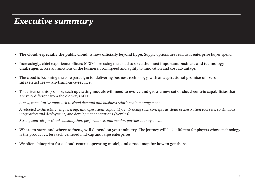### *Executive summary*

- **The cloud, especially the public cloud, is now officially beyond hype.** Supply options are real, as is enterprise buyer spend.
- Increasingly, chief experience officers (CXOs) are using the cloud to solve **the most important business and technology challenges** across all functions of the business, from speed and agility to innovation and cost advantage.
- The cloud is becoming the core paradigm for delivering business technology, with an **aspirational promise of "zero infrastructure — anything-as-a-service.**"
- To deliver on this promise, **tech operating models will need to evolve and grow a new set of cloud-centric capabilities** that are very different from the old ways of IT:

*A new, consultative approach to cloud demand and business relationship management*

*A retooled architecture, engineering, and operations capability, embracing such concepts as cloud orchestration tool sets, continuous integration and deployment, and development operations (DevOps)*

*Strong controls for cloud consumption, performance, and vendor/partner management*

- **Where to start, and where to focus, will depend on your industry.** The journey will look different for players whose technology is the product vs. less tech-centered mid-cap and large enterprises.
- We offer a **blueprint for a cloud-centric operating model, and a road map for how to get there.**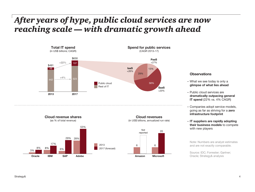### *After years of hype, public cloud services are now reaching scale — with dramatic growth ahead*











- What we see today is only a glimpse of what lies ahead
- Public cloud services are dramatically outpacing general IT spend (22% vs. 4% CAGR)
- Companies adopt service models, going as far as striving for a zero infrastructure footprint
- IT suppliers are rapidly adopting their business models to compete with new players

Note: Numbers are analyst estimates and are not exactly comparable.

Source: IDC; Forrester; Gartner; Oracle; Strategy& analysis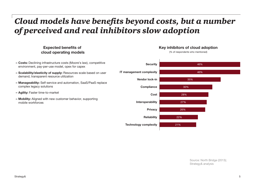### *Cloud models have benefits beyond costs, but a number of perceived and real inhibitors slow adoption*

### Expected benefits of cloud operating models

- Costs: Declining infrastructure costs (Moore's law), competitive environment, pay-per-use model, opex for capex
- Scalability/elasticity of supply: Resources scale based on user demand, transparent resource utilization
- Manageability: Self-service and automation, SaaS/PaaS replace complex legacy solutions
- Agility: Faster time-to-market
- Mobility: Aligned with new customer behavior, supporting mobile workforces



#### Key inhibitors of cloud adoption

(% of respondents who mentioned)

Source: North Bridge (2013); Strategy& analysis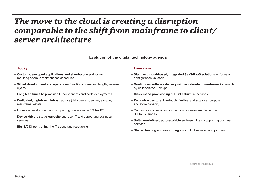### *The move to the cloud is creating a disruption comparable to the shift from mainframe to client/ server architecture*

Evolution of the digital technology agenda

- Custom-developed applications and stand-alone platforms requiring onerous maintenance schedules
- Siloed development and operations functions managing lengthy release cycles
- Long lead times to provision IT components and code deployments
- Dedicated, high-touch infrastructure (data centers, server, storage, mainframe) estate
- Focus on development and supporting operations  $-$  "IT for IT"
- Device-driven, static-capacity end-user IT and supporting business services
- Big IT/CIO controlling the IT spend and resourcing

#### Today Tomorrow

- Standard, cloud-based, integrated SaaS/PaaS solutions focus on configuration vs. code
- Continuous software delivery with accelerated time-to-market enabled by collaborative DevOps
- On-demand provisioning of IT infrastructure services
- Zero infrastructure: low-touch, flexible, and scalable compute and store capacity
- Orchestrator of services, focused on business enablement "IT for business"
- Software-defined, auto-scalable end-user IT and supporting business services
- Shared funding and resourcing among IT, business, and partners

Source: Strategy&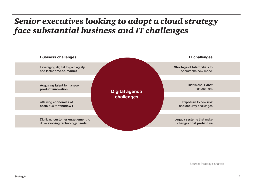### *Senior executives looking to adopt a cloud strategy face substantial business and IT challenges*

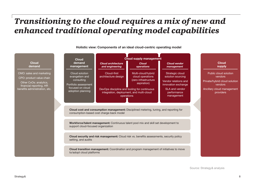### *Transitioning to the cloud requires a mix of new and enhanced traditional operating model capabilities*

Holistic view: Components of an ideal cloud-centric operating model

#### Cloud demand

CMO: sales and marketing CPO: product value chain Other CxOs: analytics, financial reporting, HR

benefits administration, etc.

|  | <b>Cloud</b>                                                                                                                              | <b>Cloud supply management</b>                                                                                             |                                                                               |                                                                                     |  |                                                                              |
|--|-------------------------------------------------------------------------------------------------------------------------------------------|----------------------------------------------------------------------------------------------------------------------------|-------------------------------------------------------------------------------|-------------------------------------------------------------------------------------|--|------------------------------------------------------------------------------|
|  | demand<br>management                                                                                                                      | <b>Cloud architecture</b><br>and engineering                                                                               | <b>Cloud</b><br>operations                                                    | <b>Cloud vendor</b><br>management                                                   |  | <b>Cloud</b><br>supply                                                       |
|  | Cloud solution<br>evangelism and<br>consulting<br>Portfolio assessment<br>focused on cloud<br>adoption planning                           | Cloud-first<br>architecture design                                                                                         | Multi-cloud/hybrid<br>cloud operations<br>(zero infrastructure<br>aspiration) | Strategic cloud<br>solution sourcing<br>Vendor relations and<br>innovation exchange |  | Public cloud solution<br>vendors<br>Private/hybrid cloud solution<br>vendors |
|  |                                                                                                                                           | DevOps discipline and tooling for continuous<br>integration, deployment, and multi-cloud<br>operations                     |                                                                               | SLA and vendor<br>performance<br>management                                         |  | Ancillary cloud management<br>providers                                      |
|  | <b>Cloud cost and consumption management:</b> Disciplined metering, tuning, and reporting for<br>consumption-based cost charge-back model |                                                                                                                            |                                                                               |                                                                                     |  |                                                                              |
|  | Workforce/talent management: Continuous talent pool mix and skill set development to<br>support cloud-focused organization                |                                                                                                                            |                                                                               |                                                                                     |  |                                                                              |
|  | <b>Cloud security and risk management:</b> Cloud risk vs. benefits assessments, security policy<br>setting, and audits                    |                                                                                                                            |                                                                               |                                                                                     |  |                                                                              |
|  |                                                                                                                                           | <b>Cloud transition management:</b> Coordination and program management of initiatives to move<br>to/adopt cloud platforms |                                                                               |                                                                                     |  |                                                                              |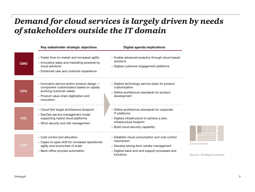### *Demand for cloud services is largely driven by needs of stakeholders outside the IT domain*

|            | Key stakeholder strategic objectives                                                                                                                                        | <b>Digital agenda implications</b>                                                                                                                                                   |
|------------|-----------------------------------------------------------------------------------------------------------------------------------------------------------------------------|--------------------------------------------------------------------------------------------------------------------------------------------------------------------------------------|
| <b>CMO</b> | - Faster time-to-market and increased agility<br>- Innovative sales and marketing powered by<br>cloud solutions<br>- Enhanced user and customer experience                  | - Enable advanced analytics through cloud-based<br>solutions<br>- Digitize customer engagement platforms                                                                             |
| CPO        | - Innovative service and/or product design -<br>component customization based on rapidly<br>evolving customer needs<br>- Product value chain digitization and<br>innovation | - Digitize technology service stack for product<br>customization<br>- Define architecture standards for product<br>development                                                       |
| CIO        | - Cloud-first target architecture blueprint<br>- DevOps service management model<br>supporting hybrid cloud platforms<br>- Strict security and risk management              | - Define architecture standards for corporate<br><b>IT</b> platforms<br>- Digitize infrastructure to achieve a zero<br>infrastructure footprint<br>- Build cloud security capability |
| CxO        | - Cost control and allocation<br>- Capex to opex shift for increased operational<br>agility and economies of scale<br>- Back-office process automation                      | - Establish cloud consumption and cost control<br>mechanism<br>- Develop strong-form vendor management<br>- Digitize back-end and support processes and<br>functions                 |

Source: Strategy& analysis

*Cloud demand*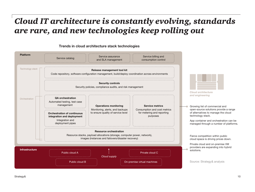### *Cloud IT architecture is constantly evolving, standards are rare, and new technologies keep rolling out*



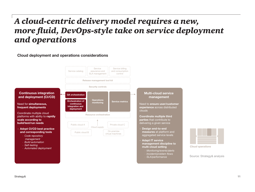### *A cloud-centric delivery model requires a new, more fluid, DevOps-style take on service deployment and operations*

#### Cloud deployment and operations considerations

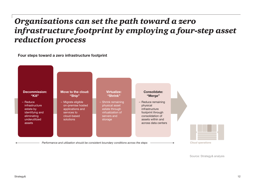### *Organizations can set the path toward a zero infrastructure footprint by employing a four-step asset reduction process*

Four steps toward a zero infrastructure footprint

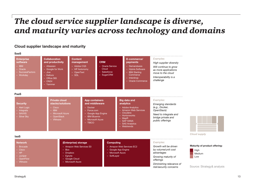### *The cloud service supplier landscape is diverse, and maturity varies across technology and domains*

#### Cloud supplier landscape and maturity

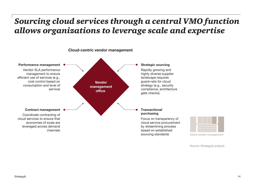### *Sourcing cloud services through a central VMO function allows organizations to leverage scale and expertise*

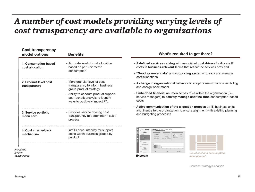## *A number of cost models providing varying levels of cost transparency are available to organizations*

| <b>Cost transparency</b><br>model options | <b>Benefits</b>                                                                                                                                                                                          |
|-------------------------------------------|----------------------------------------------------------------------------------------------------------------------------------------------------------------------------------------------------------|
| 1. Consumption-based<br>cost allocation   | - Accurate level of cost allocation<br>based on per-unit metric<br>consumption                                                                                                                           |
| 2. Product-level cost<br>transparency     | - More granular level of cost<br>transparency to inform business<br>group product strategy<br>- Ability to conduct product support<br>cost-benefit analysis to identify<br>ways to positively impact P/L |
| 3. Service portfolio<br>menu card         | - Provides service offering cost<br>transparency to better inform sales<br>process                                                                                                                       |
| 4. Cost charge-back<br>mechanism          | - Instills accountability for support<br>costs within business groups by<br>product                                                                                                                      |
| reasing                                   |                                                                                                                                                                                                          |

#### *Increasing level of transparency*

#### What's required to get there?

- A defined services catalog with associated cost drivers to allocate IT costs in business-relevant terms that reflect the services provided
- "Good, granular data" and supporting systems to track and manage cost allocations
- A change in organizational behavior to adopt consumption-based billing and charge-back model
- Embedded financial acumen across roles within the organization (i.e., service managers) to **actively manage and fine-tune** consumption-based costs
- Active communication of the allocation process by IT, business units, and finance to the organization to ensure alignment with existing planning and budgeting processes





*Cloud cost and consumption management*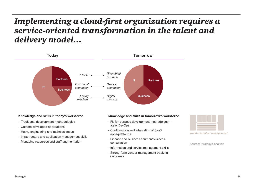### *Implementing a cloud-first organization requires a service-oriented transformation in the talent and delivery model…*



#### Knowledge and skills in today's workforce

- Traditional development methodologies
- Custom-developed applications
- Heavy engineering and technical focus
- Infrastructure and application management skills
- Managing resources and staff augmentation

#### Knowledge and skills in tomorrow's workforce

- Fit-for-purpose development methodology agile, DevOps
- Configuration and integration of SaaS apps/platforms
- Finance and business acumen/business consultation
- Information and service management skills
- Strong-form vendor management tracking outcomes



*Workforce/talent management*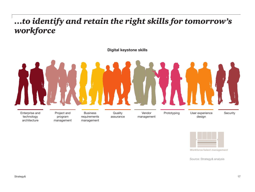## *…to identify and retain the right skills for tomorrow's workforce*



### Enterprise and technology **Business** requirements Vendor management Prototyping User experience Security design Project and program **Quality** assurance

management

management



Source: Strategy& analysis

architecture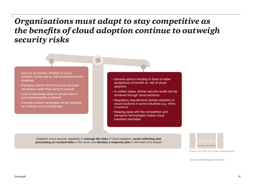### *Organizations must adapt to stay competitive as the benefits of cloud adoption continue to outweigh security risks*

- Security as primary inhibitor of cloud adoption reinforced by well-publicized recent breaches
- Prevailing opinion that third-party services are always riskier than doing it yourself
- Lack of standards leads to vendor lock-in and interoperability problems
- Complex system landscape will be replaced by complex service landscape
- General opinion trending in favor of wider acceptance of benefit vs. risk of cloud adoption
- In certain cases, stricter security levels can be achieved through cloud solutions
- Regulatory requirements dictate adoption of cloud solutions in some industries (e.g., HIPAA compliance)
- Keeping pace with the competition and disruptive technologies makes cloud transition inevitable

*Establish cloud security capability to* manage the risks *of cloud adoption,* avoid collecting and processing un-curated data *in the cloud, and* develop a response plan *in the event of a breach*



*Cloud security and risk management*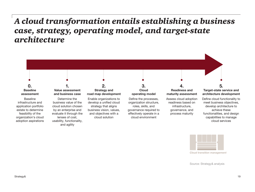### *A cloud transformation entails establishing a business case, strategy, operating model, and target-state architecture*





*Cloud transition management*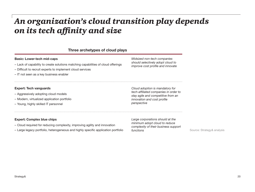### *An organization's cloud transition play depends on its tech affinity and size*

#### Three archetypes of cloud plays

#### Basic: Lower-tech mid-caps

- Lack of capability to create solutions matching capabilities of cloud offerings
- Difficult to recruit experts to implement cloud services
- IT not seen as a key business enabler

#### Expert: Tech vanguards

- Aggressively adopting cloud models
- Modern, virtualized application portfolio
- Young, highly skilled IT personnel

*Midsized non-tech companies should selectively adopt cloud to improve cost profile and innovate*

*Cloud adoption is mandatory for tech-affiliated companies in order to stay agile and competitive from an innovation and cost profile perspective*

#### Expert: Complex blue chips

- Cloud required for reducing complexity, improving agility and innovation
- Large legacy portfolio, heterogeneous and highly specific application portfolio

*Large corporations should at the minimum adopt cloud to reduce complexity of their business support functions*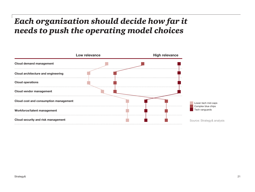## *Each organization should decide how far it needs to push the operating model choices*

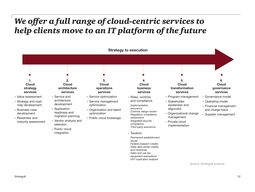### *We offer a full range of cloud-centric services to help clients move to an IT platform of the future*